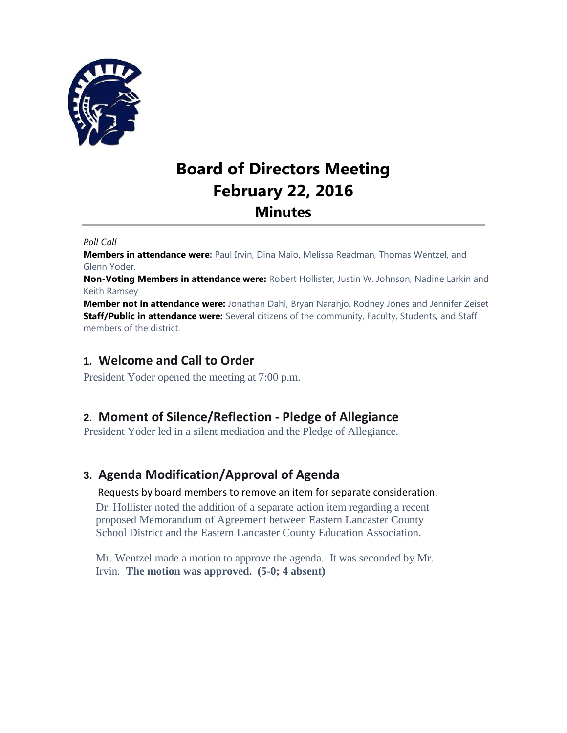

# **Board of Directors Meeting February 22, 2016 Minutes**

*Roll Call*

**Members in attendance were:** Paul Irvin, Dina Maio, Melissa Readman, Thomas Wentzel, and Glenn Yoder.

**Non-Voting Members in attendance were:** Robert Hollister, Justin W. Johnson, Nadine Larkin and Keith Ramsey

**Member not in attendance were:** Jonathan Dahl, Bryan Naranjo, Rodney Jones and Jennifer Zeiset **Staff/Public in attendance were:** Several citizens of the community, Faculty, Students, and Staff members of the district.

## **1. Welcome and Call to Order**

President Yoder opened the meeting at 7:00 p.m.

# **2. Moment of Silence/Reflection - Pledge of Allegiance**

President Yoder led in a silent mediation and the Pledge of Allegiance.

# **3. Agenda Modification/Approval of Agenda**

#### Requests by board members to remove an item for separate consideration.

Dr. Hollister noted the addition of a separate action item regarding a recent proposed Memorandum of Agreement between Eastern Lancaster County School District and the Eastern Lancaster County Education Association.

Mr. Wentzel made a motion to approve the agenda. It was seconded by Mr. Irvin. **The motion was approved. (5-0; 4 absent)**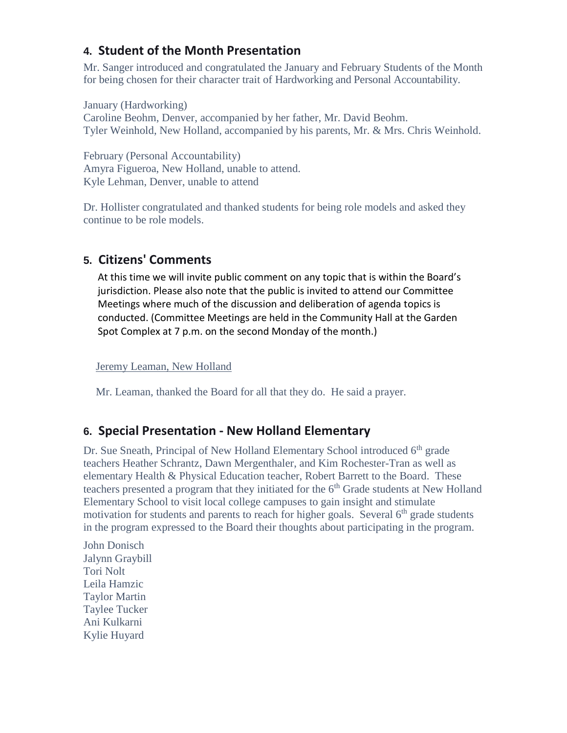# **4. Student of the Month Presentation**

Mr. Sanger introduced and congratulated the January and February Students of the Month for being chosen for their character trait of Hardworking and Personal Accountability.

January (Hardworking) Caroline Beohm, Denver, accompanied by her father, Mr. David Beohm. Tyler Weinhold, New Holland, accompanied by his parents, Mr. & Mrs. Chris Weinhold.

February (Personal Accountability) Amyra Figueroa, New Holland, unable to attend. Kyle Lehman, Denver, unable to attend

Dr. Hollister congratulated and thanked students for being role models and asked they continue to be role models.

# **5. Citizens' Comments**

At this time we will invite public comment on any topic that is within the Board's jurisdiction. Please also note that the public is invited to attend our Committee Meetings where much of the discussion and deliberation of agenda topics is conducted. (Committee Meetings are held in the Community Hall at the Garden Spot Complex at 7 p.m. on the second Monday of the month.)

Jeremy Leaman, New Holland

Mr. Leaman, thanked the Board for all that they do. He said a prayer.

# **6. Special Presentation - New Holland Elementary**

Dr. Sue Sneath, Principal of New Holland Elementary School introduced 6<sup>th</sup> grade teachers Heather Schrantz, Dawn Mergenthaler, and Kim Rochester-Tran as well as elementary Health & Physical Education teacher, Robert Barrett to the Board. These teachers presented a program that they initiated for the  $6<sup>th</sup>$  Grade students at New Holland Elementary School to visit local college campuses to gain insight and stimulate motivation for students and parents to reach for higher goals. Several 6<sup>th</sup> grade students in the program expressed to the Board their thoughts about participating in the program.

John Donisch Jalynn Graybill Tori Nolt Leila Hamzic Taylor Martin Taylee Tucker Ani Kulkarni Kylie Huyard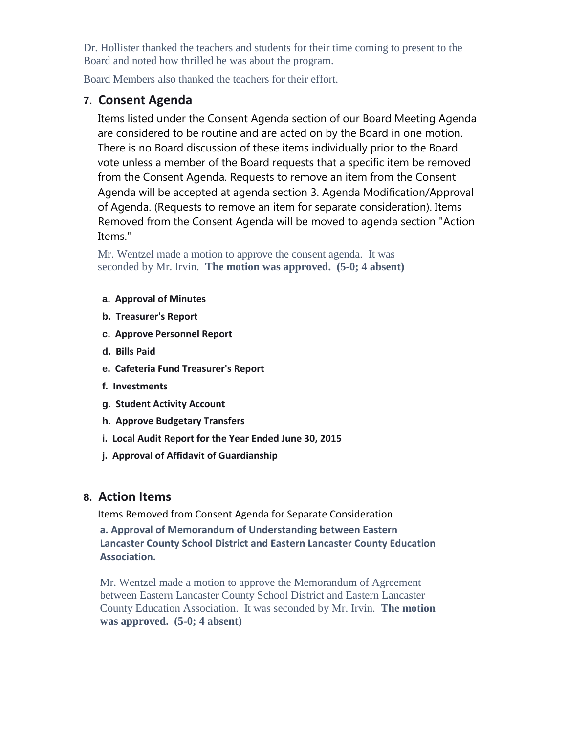Dr. Hollister thanked the teachers and students for their time coming to present to the Board and noted how thrilled he was about the program.

Board Members also thanked the teachers for their effort.

## **7. Consent Agenda**

Items listed under the Consent Agenda section of our Board Meeting Agenda are considered to be routine and are acted on by the Board in one motion. There is no Board discussion of these items individually prior to the Board vote unless a member of the Board requests that a specific item be removed from the Consent Agenda. Requests to remove an item from the Consent Agenda will be accepted at agenda section 3. Agenda Modification/Approval of Agenda. (Requests to remove an item for separate consideration). Items Removed from the Consent Agenda will be moved to agenda section "Action Items."

Mr. Wentzel made a motion to approve the consent agenda. It was seconded by Mr. Irvin. **The motion was approved. (5-0; 4 absent)**

#### **a. Approval of Minutes**

- **b. Treasurer's Report**
- **c. Approve Personnel Report**
- **d. Bills Paid**
- **e. Cafeteria Fund Treasurer's Report**
- **f. Investments**
- **g. Student Activity Account**
- **h. Approve Budgetary Transfers**
- **i. Local Audit Report for the Year Ended June 30, 2015**
- **j. Approval of Affidavit of Guardianship**

## **8. Action Items**

Items Removed from Consent Agenda for Separate Consideration **a. Approval of Memorandum of Understanding between Eastern Lancaster County School District and Eastern Lancaster County Education Association.**

Mr. Wentzel made a motion to approve the Memorandum of Agreement between Eastern Lancaster County School District and Eastern Lancaster County Education Association. It was seconded by Mr. Irvin. **The motion was approved. (5-0; 4 absent)**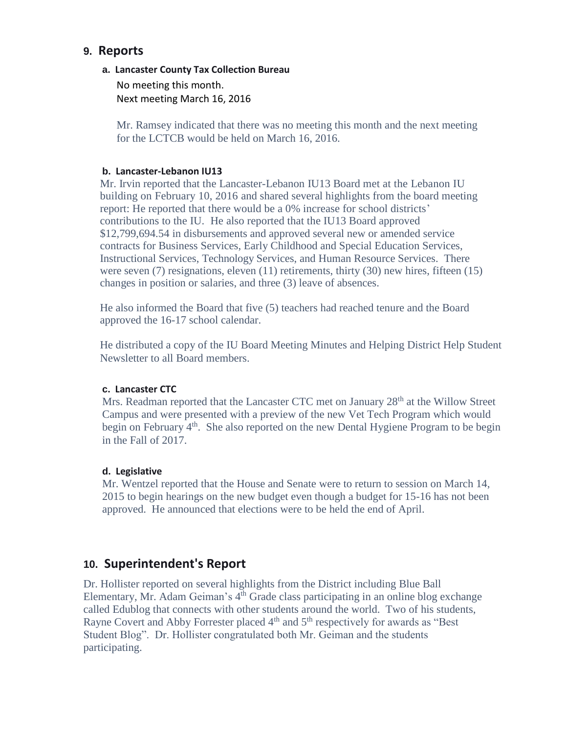## **9. Reports**

#### **a. Lancaster County Tax Collection Bureau**

No meeting this month. Next meeting March 16, 2016

Mr. Ramsey indicated that there was no meeting this month and the next meeting for the LCTCB would be held on March 16, 2016.

#### **b. Lancaster-Lebanon IU13**

Mr. Irvin reported that the Lancaster-Lebanon IU13 Board met at the Lebanon IU building on February 10, 2016 and shared several highlights from the board meeting report: He reported that there would be a 0% increase for school districts' contributions to the IU. He also reported that the IU13 Board approved \$12,799,694.54 in disbursements and approved several new or amended service contracts for Business Services, Early Childhood and Special Education Services, Instructional Services, Technology Services, and Human Resource Services. There were seven (7) resignations, eleven (11) retirements, thirty (30) new hires, fifteen (15) changes in position or salaries, and three (3) leave of absences.

He also informed the Board that five (5) teachers had reached tenure and the Board approved the 16-17 school calendar.

He distributed a copy of the IU Board Meeting Minutes and Helping District Help Student Newsletter to all Board members.

## **c. Lancaster CTC**

Mrs. Readman reported that the Lancaster CTC met on January 28<sup>th</sup> at the Willow Street Campus and were presented with a preview of the new Vet Tech Program which would begin on February 4<sup>th</sup>. She also reported on the new Dental Hygiene Program to be begin in the Fall of 2017.

## **d. Legislative**

Mr. Wentzel reported that the House and Senate were to return to session on March 14, 2015 to begin hearings on the new budget even though a budget for 15-16 has not been approved. He announced that elections were to be held the end of April.

## **10. Superintendent's Report**

Dr. Hollister reported on several highlights from the District including Blue Ball Elementary, Mr. Adam Geiman's 4<sup>th</sup> Grade class participating in an online blog exchange called Edublog that connects with other students around the world. Two of his students, Rayne Covert and Abby Forrester placed 4<sup>th</sup> and 5<sup>th</sup> respectively for awards as "Best Student Blog". Dr. Hollister congratulated both Mr. Geiman and the students participating.